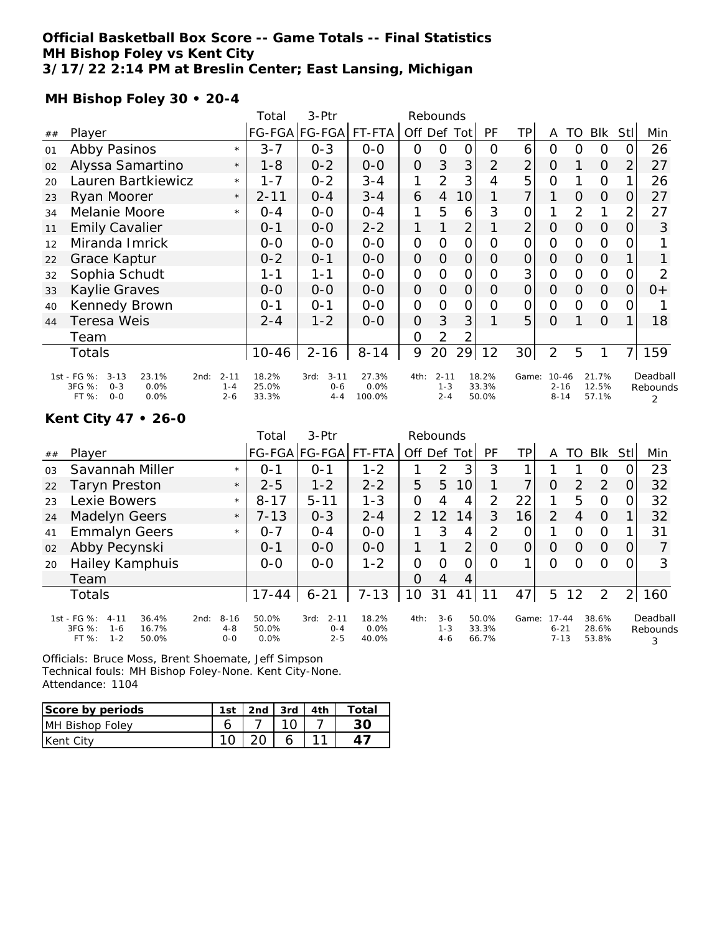### **Official Basketball Box Score -- Game Totals -- Final Statistics MH Bishop Foley vs Kent City 3/17/22 2:14 PM at Breslin Center; East Lansing, Michigan**

**MH Bishop Foley 30 • 20-4**

|    |                                                                                               |                                | Total                   | 3-Ptr                                  | Rebounds                |                |                                |                |                         |                 |                                   |                |                         |                |                           |
|----|-----------------------------------------------------------------------------------------------|--------------------------------|-------------------------|----------------------------------------|-------------------------|----------------|--------------------------------|----------------|-------------------------|-----------------|-----------------------------------|----------------|-------------------------|----------------|---------------------------|
| ## | Player                                                                                        |                                |                         | FG-FGA FG-FGA FT-FTA                   |                         | Off Def Tot    |                                |                | PF                      | ТP              | A                                 | TO             | Blk                     | Stl            | Min                       |
| 01 | Abby Pasinos                                                                                  | $\star$                        | $3 - 7$                 | $0 - 3$                                | $0 - 0$                 | $\Omega$       | 0                              | 0              | $\Omega$                | 6               | O                                 | 0              | 0                       | 0              | 26                        |
| 02 | Alyssa Samartino                                                                              | $\star$                        | $1 - 8$                 | $0 - 2$                                | $0 - 0$                 | $\overline{O}$ | 3                              | 3              | $\overline{2}$          | $\overline{2}$  | $\Omega$                          |                | $\Omega$                | $\overline{2}$ | 27                        |
| 20 | Lauren Bartkiewicz                                                                            | $\star$                        | 1 - 7                   | $0 - 2$                                | $3 - 4$                 |                | 2                              | 3              | 4                       | 5               | O                                 |                | $\Omega$                | 1              | 26                        |
| 23 | Ryan Moorer                                                                                   | $\star$                        | $2 - 11$                | $0 - 4$                                | $3 - 4$                 | 6              | $\overline{4}$                 | 10             |                         | 7               |                                   | $\Omega$       | $\Omega$                | 0              | 27                        |
| 34 | Melanie Moore                                                                                 | $\star$                        | $O - 4$                 | $0-0$                                  | $0 - 4$                 |                | 5                              | 6              | 3                       | $\mathbf 0$     |                                   | $\overline{2}$ | 1                       | $\overline{2}$ | 27                        |
| 11 | <b>Emily Cavalier</b>                                                                         |                                | $0 - 1$                 | $0 - 0$                                | $2 - 2$                 |                |                                | $\overline{2}$ |                         | $\overline{2}$  | $\Omega$                          | $\Omega$       | $\overline{O}$          | $\overline{O}$ | 3                         |
| 12 | Miranda Imrick                                                                                |                                | $0-0$                   | $0 - 0$                                | $0 - 0$                 | $\Omega$       | 0                              | $\Omega$       | $\Omega$                | $\overline{O}$  | O                                 | $\circ$        | $\Omega$                | 0              |                           |
| 22 | Grace Kaptur                                                                                  |                                | $0 - 2$                 | $0 - 1$                                | $0 - 0$                 | $\overline{O}$ | $\Omega$                       | $\overline{O}$ | $\Omega$                | $\overline{O}$  | $\Omega$                          | $\Omega$       | $\Omega$                |                |                           |
| 32 | Sophia Schudt                                                                                 |                                | 1-1                     | $1 - 1$                                | $0 - 0$                 | $\Omega$       | 0                              | 0              | $\Omega$                | 3               | O                                 | $\circ$        | $\mathcal{O}$           | 0              | 2                         |
| 33 | Kaylie Graves                                                                                 |                                | $0 - 0$                 | $0 - 0$                                | $0 - 0$                 | $\Omega$       | $\Omega$                       | $\Omega$       | $\Omega$                | $\overline{O}$  | $\Omega$                          | $\Omega$       | $\Omega$                | $\overline{O}$ | $0+$                      |
| 40 | Kennedy Brown                                                                                 |                                | $0 - 1$                 | $0 - 1$                                | $0 - 0$                 | $\mathcal{O}$  | 0                              | $\Omega$       | $\Omega$                | $\overline{O}$  | $\Omega$                          | $\circ$        | $\Omega$                | $\overline{O}$ |                           |
| 44 | Teresa Weis                                                                                   |                                | $2 - 4$                 | $1 - 2$                                | $0 - 0$                 | $\Omega$       | 3                              | 3              |                         | 5               | $\circ$                           |                | $\Omega$                | 1              | 18                        |
|    | Team                                                                                          |                                |                         |                                        |                         | 0              | 2                              |                |                         |                 |                                   |                |                         |                |                           |
|    | Totals                                                                                        |                                | $10 - 46$               | $2 - 16$                               | $8 - 14$                | 9              | 20                             | 29             | 12                      | 30 <sup>1</sup> | 2                                 | 5              | 1                       | 7              | 159                       |
|    | 1st - FG %:<br>$3 - 13$<br>23.1%<br>2nd:<br>3FG %:<br>$0 - 3$<br>0.0%<br>$O-O$<br>0.0%<br>FT% | $2 - 11$<br>$1 - 4$<br>$2 - 6$ | 18.2%<br>25.0%<br>33.3% | $3 - 11$<br>3rd:<br>$0 - 6$<br>$4 - 4$ | 27.3%<br>0.0%<br>100.0% | 4th:           | $2 - 11$<br>$1 - 3$<br>$2 - 4$ |                | 18.2%<br>33.3%<br>50.0% | Game:           | $10 - 46$<br>$2 - 16$<br>$8 - 14$ |                | 21.7%<br>12.5%<br>57.1% |                | Deadball<br>Rebounds<br>2 |

# **Kent City 47 • 26-0**

|                |                                                                                             |                                        | Total                  | $3-$ Ptr                               |                        |               | Rebounds                    |                |                         |                |                                   |               |                         |                |                           |
|----------------|---------------------------------------------------------------------------------------------|----------------------------------------|------------------------|----------------------------------------|------------------------|---------------|-----------------------------|----------------|-------------------------|----------------|-----------------------------------|---------------|-------------------------|----------------|---------------------------|
| ##             | Player                                                                                      |                                        |                        | FG-FGA FG-FGA                          | FT-FTA                 | Off Def       |                             | Totl           | <b>PF</b>               | TP             | A                                 | TO            | <b>BIK</b>              | Stll           | Min                       |
| 0 <sub>3</sub> | Savannah Miller                                                                             | $\star$                                | $O - 1$                | $O - 1$                                | $1 - 2$                |               | 2                           | 3              | 3                       |                |                                   |               | O                       |                | 23                        |
| 22             | Taryn Preston                                                                               | $\star$                                | $2 - 5$                | $1 - 2$                                | $2 - 2$                | 5             | 5                           | 10             |                         | $\overline{7}$ | $\circ$                           | $\mathcal{P}$ | 2                       | 0              | 32                        |
| 23             | Lexie Bowers                                                                                | $\star$                                | $8 - 17$               | $5 - 11$                               | $1 - 3$                | $\Omega$      | 4                           | 4              | 2                       | 22             |                                   | 5             | O                       | O.             | 32                        |
| 24             | Madelyn Geers                                                                               | $\star$                                | $7 - 13$               | $0 - 3$                                | $2 - 4$                | $\mathcal{P}$ | $-12$                       | 14             | 3                       | 16             | 2                                 | 4             | $\Omega$                |                | 32                        |
| 41             | <b>Emmalyn Geers</b>                                                                        | $\star$                                | $O - 7$                | $0 - 4$                                | $0-0$                  |               | 3                           | 4              | 2                       | 0              |                                   | Ω             | $\circ$                 |                | 31                        |
| 02             | Abby Pecynski                                                                               |                                        | $0 - 1$                | $0 - 0$                                | $0 - 0$                |               |                             | $\overline{2}$ | $\Omega$                | 0              | O                                 | $\Omega$      | $\Omega$                | $\Omega$       |                           |
| 20             | Hailey Kamphuis                                                                             |                                        | $0 - 0$                | $0 - 0$                                | $1 - 2$                | $\Omega$      | $\Omega$                    | 0              | $\Omega$                |                | O                                 | Ω             | Ω                       | 0              | 3                         |
|                | Team                                                                                        |                                        |                        |                                        |                        | $\Omega$      | 4                           | 4              |                         |                |                                   |               |                         |                |                           |
|                | <b>Totals</b>                                                                               |                                        | $17 - 44$              | $6 - 21$                               | $7 - 13$               | 10            | 31                          | 41             | 11                      | 47             | 5                                 | 12            | 2                       | $\overline{2}$ | 160                       |
|                | 1st - FG %:<br>$4 - 11$<br>36.4%<br>3FG %:<br>16.7%<br>$1 - 6$<br>$1 - 2$<br>FT %:<br>50.0% | $8 - 16$<br>2nd:<br>$4 - 8$<br>$O - O$ | 50.0%<br>50.0%<br>0.0% | $2 - 11$<br>3rd:<br>$0 - 4$<br>$2 - 5$ | 18.2%<br>0.0%<br>40.0% | 4th:          | $3-6$<br>$1 - 3$<br>$4 - 6$ |                | 50.0%<br>33.3%<br>66.7% | Game:          | $17 - 44$<br>$6 - 21$<br>$7 - 13$ |               | 38.6%<br>28.6%<br>53.8% |                | Deadball<br>Rebounds<br>3 |

Officials: Bruce Moss, Brent Shoemate, Jeff Simpson Technical fouls: MH Bishop Foley-None. Kent City-None. Attendance: 1104

| Score by periods | 1st | 2nd | $\vert$ 3rd $\vert$ | 4th | Total |
|------------------|-----|-----|---------------------|-----|-------|
| MH Bishop Foley  |     |     |                     |     |       |
| Kent City        |     |     |                     |     |       |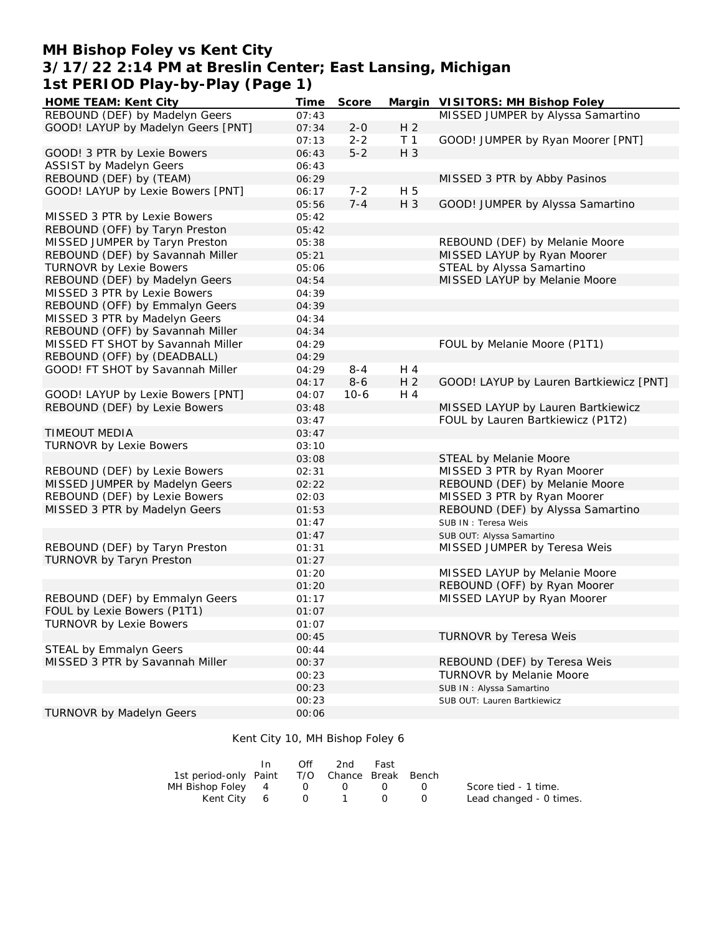# **MH Bishop Foley vs Kent City 3/17/22 2:14 PM at Breslin Center; East Lansing, Michigan 1st PERIOD Play-by-Play (Page 1)**

| HOME TEAM: Kent City               | Time  | Score   |                | Margin VISITORS: MH Bishop Foley        |
|------------------------------------|-------|---------|----------------|-----------------------------------------|
| REBOUND (DEF) by Madelyn Geers     | 07:43 |         |                | MISSED JUMPER by Alyssa Samartino       |
| GOOD! LAYUP by Madelyn Geers [PNT] | 07:34 | $2 - 0$ | H <sub>2</sub> |                                         |
|                                    | 07:13 | $2 - 2$ | T <sub>1</sub> | GOOD! JUMPER by Ryan Moorer [PNT]       |
| GOOD! 3 PTR by Lexie Bowers        | 06:43 | $5 - 2$ | H 3            |                                         |
| <b>ASSIST by Madelyn Geers</b>     | 06:43 |         |                |                                         |
| REBOUND (DEF) by (TEAM)            | 06:29 |         |                | MISSED 3 PTR by Abby Pasinos            |
| GOOD! LAYUP by Lexie Bowers [PNT]  | 06:17 | $7 - 2$ | H 5            |                                         |
|                                    | 05:56 | $7 - 4$ | H 3            | GOOD! JUMPER by Alyssa Samartino        |
| MISSED 3 PTR by Lexie Bowers       | 05:42 |         |                |                                         |
| REBOUND (OFF) by Taryn Preston     | 05:42 |         |                |                                         |
| MISSED JUMPER by Taryn Preston     | 05:38 |         |                | REBOUND (DEF) by Melanie Moore          |
| REBOUND (DEF) by Savannah Miller   | 05:21 |         |                | MISSED LAYUP by Ryan Moorer             |
| <b>TURNOVR by Lexie Bowers</b>     | 05:06 |         |                | STEAL by Alyssa Samartino               |
| REBOUND (DEF) by Madelyn Geers     | 04:54 |         |                | MISSED LAYUP by Melanie Moore           |
| MISSED 3 PTR by Lexie Bowers       | 04:39 |         |                |                                         |
| REBOUND (OFF) by Emmalyn Geers     | 04:39 |         |                |                                         |
| MISSED 3 PTR by Madelyn Geers      | 04:34 |         |                |                                         |
| REBOUND (OFF) by Savannah Miller   | 04:34 |         |                |                                         |
| MISSED FT SHOT by Savannah Miller  | 04:29 |         |                | FOUL by Melanie Moore (P1T1)            |
| REBOUND (OFF) by (DEADBALL)        | 04:29 |         |                |                                         |
| GOOD! FT SHOT by Savannah Miller   | 04:29 | $8 - 4$ | H 4            |                                         |
|                                    | 04:17 | $8-6$   | H <sub>2</sub> | GOOD! LAYUP by Lauren Bartkiewicz [PNT] |
| GOOD! LAYUP by Lexie Bowers [PNT]  | 04:07 | $10-6$  | H 4            |                                         |
| REBOUND (DEF) by Lexie Bowers      | 03:48 |         |                | MISSED LAYUP by Lauren Bartkiewicz      |
|                                    | 03:47 |         |                | FOUL by Lauren Bartkiewicz (P1T2)       |
| <b>TIMEOUT MEDIA</b>               | 03:47 |         |                |                                         |
| <b>TURNOVR by Lexie Bowers</b>     | 03:10 |         |                |                                         |
|                                    | 03:08 |         |                | STEAL by Melanie Moore                  |
| REBOUND (DEF) by Lexie Bowers      | 02:31 |         |                | MISSED 3 PTR by Ryan Moorer             |
| MISSED JUMPER by Madelyn Geers     | 02:22 |         |                | REBOUND (DEF) by Melanie Moore          |
| REBOUND (DEF) by Lexie Bowers      | 02:03 |         |                | MISSED 3 PTR by Ryan Moorer             |
| MISSED 3 PTR by Madelyn Geers      | 01:53 |         |                | REBOUND (DEF) by Alyssa Samartino       |
|                                    | 01:47 |         |                | SUB IN: Teresa Weis                     |
|                                    | 01:47 |         |                | SUB OUT: Alyssa Samartino               |
| REBOUND (DEF) by Taryn Preston     | 01:31 |         |                | MISSED JUMPER by Teresa Weis            |
| TURNOVR by Taryn Preston           | 01:27 |         |                |                                         |
|                                    | 01:20 |         |                | MISSED LAYUP by Melanie Moore           |
|                                    | 01:20 |         |                | REBOUND (OFF) by Ryan Moorer            |
| REBOUND (DEF) by Emmalyn Geers     | 01:17 |         |                | MISSED LAYUP by Ryan Moorer             |
| FOUL by Lexie Bowers (P1T1)        | 01:07 |         |                |                                         |
| <b>TURNOVR by Lexie Bowers</b>     | 01:07 |         |                |                                         |
|                                    | 00:45 |         |                | TURNOVR by Teresa Weis                  |
| <b>STEAL by Emmalyn Geers</b>      | 00:44 |         |                |                                         |
| MISSED 3 PTR by Savannah Miller    | 00:37 |         |                | REBOUND (DEF) by Teresa Weis            |
|                                    |       |         |                | TURNOVR by Melanie Moore                |
|                                    | 00:23 |         |                |                                         |
|                                    | 00:23 |         |                | SUB IN: Alyssa Samartino                |
| <b>TURNOVR by Madelyn Geers</b>    | 00:23 |         |                | SUB OUT: Lauren Bartkiewicz             |
|                                    | 00:06 |         |                |                                         |

#### Kent City 10, MH Bishop Foley 6

|                                              | Off | 2nd | Fast |                         |
|----------------------------------------------|-----|-----|------|-------------------------|
| 1st period-only Paint T/O Chance Break Bench |     |     |      |                         |
| MH Bishop Foley 4 0 0 0 0                    |     |     |      | Score tied - 1 time.    |
| Kent City 6 0 1 0 0                          |     |     |      | Lead changed - 0 times. |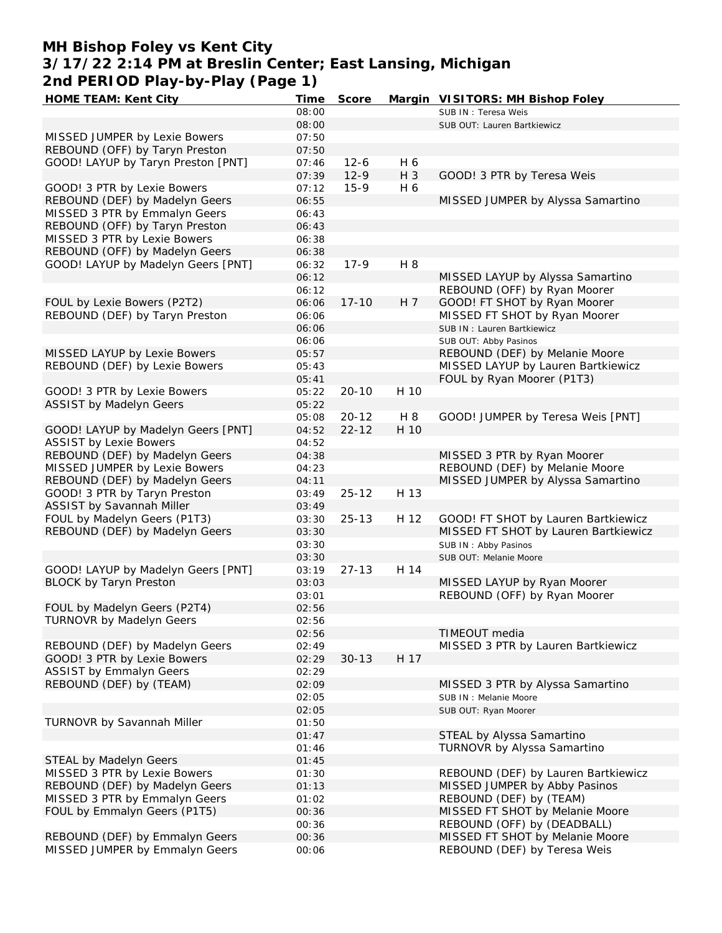# **MH Bishop Foley vs Kent City 3/17/22 2:14 PM at Breslin Center; East Lansing, Michigan 2nd PERIOD Play-by-Play (Page 1)**

| HOME TEAM: Kent City               | Time  | Score     |       | Margin VISITORS: MH Bishop Foley     |
|------------------------------------|-------|-----------|-------|--------------------------------------|
|                                    | 08:00 |           |       | SUB IN: Teresa Weis                  |
|                                    | 08:00 |           |       | SUB OUT: Lauren Bartkiewicz          |
| MISSED JUMPER by Lexie Bowers      | 07:50 |           |       |                                      |
| REBOUND (OFF) by Taryn Preston     | 07:50 |           |       |                                      |
| GOOD! LAYUP by Taryn Preston [PNT] | 07:46 | $12 - 6$  | H 6   |                                      |
|                                    | 07:39 | $12-9$    | $H_3$ | GOOD! 3 PTR by Teresa Weis           |
| GOOD! 3 PTR by Lexie Bowers        | 07:12 | $15-9$    | H 6   |                                      |
| REBOUND (DEF) by Madelyn Geers     | 06:55 |           |       | MISSED JUMPER by Alyssa Samartino    |
| MISSED 3 PTR by Emmalyn Geers      | 06:43 |           |       |                                      |
| REBOUND (OFF) by Taryn Preston     | 06:43 |           |       |                                      |
| MISSED 3 PTR by Lexie Bowers       | 06:38 |           |       |                                      |
| REBOUND (OFF) by Madelyn Geers     | 06:38 |           |       |                                      |
|                                    |       |           |       |                                      |
| GOOD! LAYUP by Madelyn Geers [PNT] | 06:32 | $17-9$    | H 8   |                                      |
|                                    | 06:12 |           |       | MISSED LAYUP by Alyssa Samartino     |
|                                    | 06:12 |           |       | REBOUND (OFF) by Ryan Moorer         |
| FOUL by Lexie Bowers (P2T2)        | 06:06 | $17 - 10$ | H 7   | GOOD! FT SHOT by Ryan Moorer         |
| REBOUND (DEF) by Taryn Preston     | 06:06 |           |       | MISSED FT SHOT by Ryan Moorer        |
|                                    | 06:06 |           |       | SUB IN: Lauren Bartkiewicz           |
|                                    | 06:06 |           |       | SUB OUT: Abby Pasinos                |
| MISSED LAYUP by Lexie Bowers       | 05:57 |           |       | REBOUND (DEF) by Melanie Moore       |
| REBOUND (DEF) by Lexie Bowers      | 05:43 |           |       | MISSED LAYUP by Lauren Bartkiewicz   |
|                                    | 05:41 |           |       | FOUL by Ryan Moorer (P1T3)           |
| GOOD! 3 PTR by Lexie Bowers        | 05:22 | $20 - 10$ | H 10  |                                      |
| ASSIST by Madelyn Geers            | 05:22 |           |       |                                      |
|                                    | 05:08 | $20 - 12$ | H 8   | GOOD! JUMPER by Teresa Weis [PNT]    |
| GOOD! LAYUP by Madelyn Geers [PNT] | 04:52 | $22 - 12$ | H 10  |                                      |
| <b>ASSIST by Lexie Bowers</b>      | 04:52 |           |       |                                      |
| REBOUND (DEF) by Madelyn Geers     | 04:38 |           |       | MISSED 3 PTR by Ryan Moorer          |
| MISSED JUMPER by Lexie Bowers      | 04:23 |           |       | REBOUND (DEF) by Melanie Moore       |
|                                    |       |           |       |                                      |
| REBOUND (DEF) by Madelyn Geers     | 04:11 |           |       | MISSED JUMPER by Alyssa Samartino    |
| GOOD! 3 PTR by Taryn Preston       | 03:49 | $25 - 12$ | H 13  |                                      |
| ASSIST by Savannah Miller          | 03:49 |           |       |                                      |
| FOUL by Madelyn Geers (P1T3)       | 03:30 | $25 - 13$ | H 12  | GOOD! FT SHOT by Lauren Bartkiewicz  |
| REBOUND (DEF) by Madelyn Geers     | 03:30 |           |       | MISSED FT SHOT by Lauren Bartkiewicz |
|                                    | 03:30 |           |       | SUB IN: Abby Pasinos                 |
|                                    | 03:30 |           |       | SUB OUT: Melanie Moore               |
| GOOD! LAYUP by Madelyn Geers [PNT] | 03:19 | $27 - 13$ | H 14  |                                      |
| <b>BLOCK by Taryn Preston</b>      | 03:03 |           |       | MISSED LAYUP by Ryan Moorer          |
|                                    | 03:01 |           |       | REBOUND (OFF) by Ryan Moorer         |
| FOUL by Madelyn Geers (P2T4)       | 02:56 |           |       |                                      |
| TURNOVR by Madelyn Geers           | 02:56 |           |       |                                      |
|                                    | 02:56 |           |       | TIMEOUT media                        |
| REBOUND (DEF) by Madelyn Geers     | 02:49 |           |       | MISSED 3 PTR by Lauren Bartkiewicz   |
| GOOD! 3 PTR by Lexie Bowers        | 02:29 | $30 - 13$ | H 17  |                                      |
| <b>ASSIST by Emmalyn Geers</b>     | 02:29 |           |       |                                      |
| REBOUND (DEF) by (TEAM)            | 02:09 |           |       | MISSED 3 PTR by Alyssa Samartino     |
|                                    |       |           |       | SUB IN: Melanie Moore                |
|                                    | 02:05 |           |       |                                      |
|                                    | 02:05 |           |       | SUB OUT: Ryan Moorer                 |
| TURNOVR by Savannah Miller         | 01:50 |           |       |                                      |
|                                    | 01:47 |           |       | STEAL by Alyssa Samartino            |
|                                    | 01:46 |           |       | TURNOVR by Alyssa Samartino          |
| STEAL by Madelyn Geers             | 01:45 |           |       |                                      |
| MISSED 3 PTR by Lexie Bowers       | 01:30 |           |       | REBOUND (DEF) by Lauren Bartkiewicz  |
| REBOUND (DEF) by Madelyn Geers     | 01:13 |           |       | MISSED JUMPER by Abby Pasinos        |
| MISSED 3 PTR by Emmalyn Geers      | 01:02 |           |       | REBOUND (DEF) by (TEAM)              |
| FOUL by Emmalyn Geers (P1T5)       | 00:36 |           |       | MISSED FT SHOT by Melanie Moore      |
|                                    | 00:36 |           |       | REBOUND (OFF) by (DEADBALL)          |
| REBOUND (DEF) by Emmalyn Geers     | 00:36 |           |       | MISSED FT SHOT by Melanie Moore      |
| MISSED JUMPER by Emmalyn Geers     | 00:06 |           |       | REBOUND (DEF) by Teresa Weis         |
|                                    |       |           |       |                                      |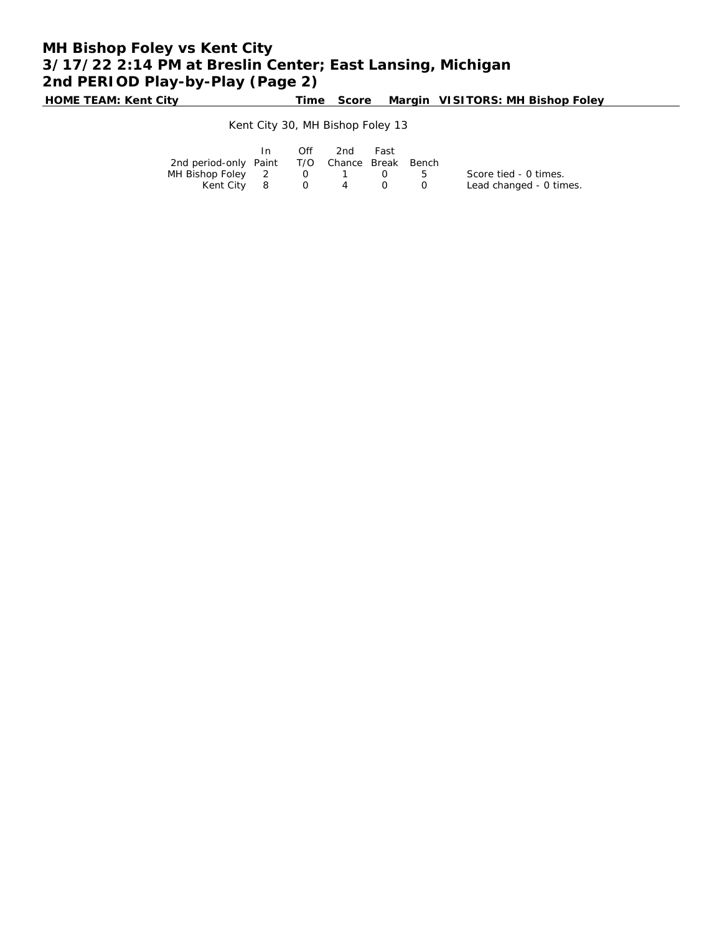# **MH Bishop Foley vs Kent City 3/17/22 2:14 PM at Breslin Center; East Lansing, Michigan 2nd PERIOD Play-by-Play (Page 2)**

**HOME TEAM: Kent City Time Score Margin VISITORS: MH Bishop Foley**

### Kent City 30, MH Bishop Foley 13

|                                              | In | <b>Off</b> | 2nd                                             | Fast |                         |
|----------------------------------------------|----|------------|-------------------------------------------------|------|-------------------------|
| 2nd period-only Paint T/O Chance Break Bench |    |            |                                                 |      |                         |
| MH Bishop Foley 2                            |    |            | $\begin{array}{cccc} 0 & 1 & 0 & 5 \end{array}$ |      | Score tied - 0 times.   |
| Kent City 8 0 4                              |    |            |                                                 |      | Lead changed - 0 times. |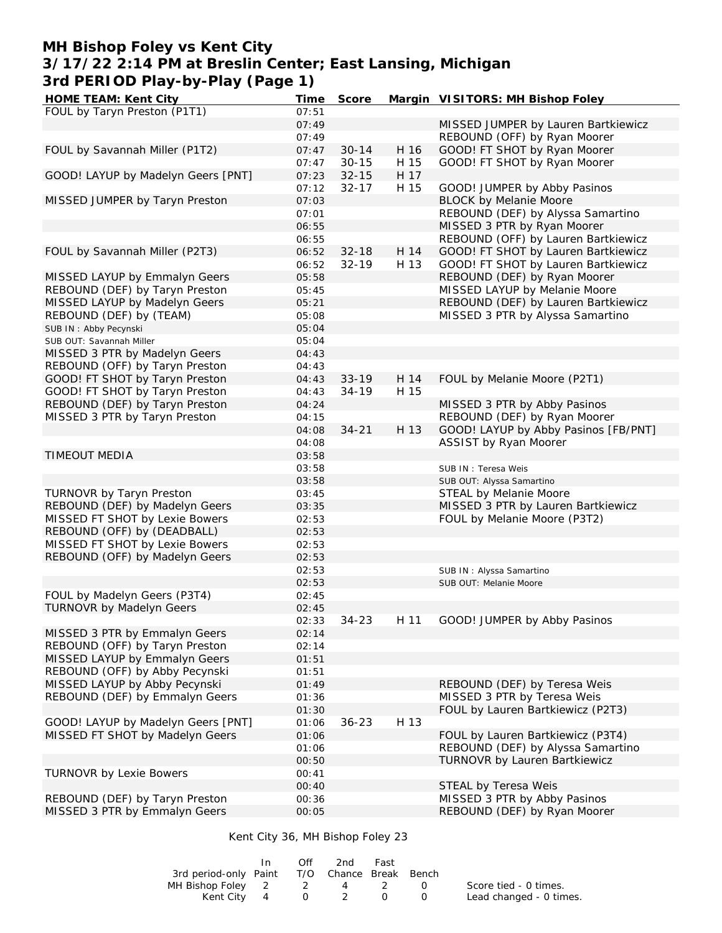## **MH Bishop Foley vs Kent City 3/17/22 2:14 PM at Breslin Center; East Lansing, Michigan 3rd PERIOD Play-by-Play (Page 1)**

| HOME TEAM: Kent City               | Time  | Score     |      | Margin VISITORS: MH Bishop Foley                    |
|------------------------------------|-------|-----------|------|-----------------------------------------------------|
| FOUL by Taryn Preston (P1T1)       | 07:51 |           |      |                                                     |
|                                    | 07:49 |           |      | MISSED JUMPER by Lauren Bartkiewicz                 |
|                                    | 07:49 |           |      | REBOUND (OFF) by Ryan Moorer                        |
| FOUL by Savannah Miller (P1T2)     | 07:47 | $30 - 14$ | H 16 | GOOD! FT SHOT by Ryan Moorer                        |
|                                    | 07:47 | $30 - 15$ | H 15 | GOOD! FT SHOT by Ryan Moorer                        |
| GOOD! LAYUP by Madelyn Geers [PNT] | 07:23 | $32 - 15$ | H 17 |                                                     |
|                                    | 07:12 | $32 - 17$ | H 15 | GOOD! JUMPER by Abby Pasinos                        |
| MISSED JUMPER by Taryn Preston     | 07:03 |           |      | <b>BLOCK by Melanie Moore</b>                       |
|                                    | 07:01 |           |      | REBOUND (DEF) by Alyssa Samartino                   |
|                                    | 06:55 |           |      | MISSED 3 PTR by Ryan Moorer                         |
|                                    | 06:55 |           |      | REBOUND (OFF) by Lauren Bartkiewicz                 |
|                                    |       |           |      |                                                     |
| FOUL by Savannah Miller (P2T3)     | 06:52 | $32 - 18$ | H 14 | GOOD! FT SHOT by Lauren Bartkiewicz                 |
|                                    | 06:52 | $32 - 19$ | H 13 | GOOD! FT SHOT by Lauren Bartkiewicz                 |
| MISSED LAYUP by Emmalyn Geers      | 05:58 |           |      | REBOUND (DEF) by Ryan Moorer                        |
| REBOUND (DEF) by Taryn Preston     | 05:45 |           |      | MISSED LAYUP by Melanie Moore                       |
| MISSED LAYUP by Madelyn Geers      | 05:21 |           |      | REBOUND (DEF) by Lauren Bartkiewicz                 |
| REBOUND (DEF) by (TEAM)            | 05:08 |           |      | MISSED 3 PTR by Alyssa Samartino                    |
| SUB IN: Abby Pecynski              | 05:04 |           |      |                                                     |
| SUB OUT: Savannah Miller           | 05:04 |           |      |                                                     |
| MISSED 3 PTR by Madelyn Geers      | 04:43 |           |      |                                                     |
| REBOUND (OFF) by Taryn Preston     | 04:43 |           |      |                                                     |
| GOOD! FT SHOT by Taryn Preston     | 04:43 | $33 - 19$ | H 14 | FOUL by Melanie Moore (P2T1)                        |
| GOOD! FT SHOT by Taryn Preston     | 04:43 | $34 - 19$ | H 15 |                                                     |
| REBOUND (DEF) by Taryn Preston     | 04:24 |           |      | MISSED 3 PTR by Abby Pasinos                        |
| MISSED 3 PTR by Taryn Preston      | 04:15 |           |      | REBOUND (DEF) by Ryan Moorer                        |
|                                    | 04:08 | $34 - 21$ | H 13 | GOOD! LAYUP by Abby Pasinos [FB/PNT]                |
|                                    | 04:08 |           |      | ASSIST by Ryan Moorer                               |
| <b>TIMEOUT MEDIA</b>               | 03:58 |           |      |                                                     |
|                                    | 03:58 |           |      | SUB IN: Teresa Weis                                 |
|                                    | 03:58 |           |      |                                                     |
| TURNOVR by Taryn Preston           | 03:45 |           |      | SUB OUT: Alyssa Samartino<br>STEAL by Melanie Moore |
|                                    |       |           |      |                                                     |
| REBOUND (DEF) by Madelyn Geers     | 03:35 |           |      | MISSED 3 PTR by Lauren Bartkiewicz                  |
| MISSED FT SHOT by Lexie Bowers     | 02:53 |           |      | FOUL by Melanie Moore (P3T2)                        |
| REBOUND (OFF) by (DEADBALL)        | 02:53 |           |      |                                                     |
| MISSED FT SHOT by Lexie Bowers     | 02:53 |           |      |                                                     |
| REBOUND (OFF) by Madelyn Geers     | 02:53 |           |      |                                                     |
|                                    | 02:53 |           |      | SUB IN: Alyssa Samartino                            |
|                                    | 02:53 |           |      | SUB OUT: Melanie Moore                              |
| FOUL by Madelyn Geers (P3T4)       | 02:45 |           |      |                                                     |
| <b>TURNOVR by Madelyn Geers</b>    | 02:45 |           |      |                                                     |
|                                    | 02:33 | $34 - 23$ | H 11 | GOOD! JUMPER by Abby Pasinos                        |
| MISSED 3 PTR by Emmalyn Geers      | 02:14 |           |      |                                                     |
| REBOUND (OFF) by Taryn Preston     | 02:14 |           |      |                                                     |
| MISSED LAYUP by Emmalyn Geers      | 01:51 |           |      |                                                     |
| REBOUND (OFF) by Abby Pecynski     | 01:51 |           |      |                                                     |
| MISSED LAYUP by Abby Pecynski      | 01:49 |           |      | REBOUND (DEF) by Teresa Weis                        |
| REBOUND (DEF) by Emmalyn Geers     | 01:36 |           |      | MISSED 3 PTR by Teresa Weis                         |
|                                    | 01:30 |           |      | FOUL by Lauren Bartkiewicz (P2T3)                   |
| GOOD! LAYUP by Madelyn Geers [PNT] | 01:06 | $36 - 23$ | H 13 |                                                     |
| MISSED FT SHOT by Madelyn Geers    | 01:06 |           |      | FOUL by Lauren Bartkiewicz (P3T4)                   |
|                                    | 01:06 |           |      | REBOUND (DEF) by Alyssa Samartino                   |
|                                    | 00:50 |           |      | TURNOVR by Lauren Bartkiewicz                       |
|                                    |       |           |      |                                                     |
| <b>TURNOVR by Lexie Bowers</b>     | 00:41 |           |      |                                                     |
|                                    | 00:40 |           |      | STEAL by Teresa Weis                                |
| REBOUND (DEF) by Taryn Preston     | 00:36 |           |      | MISSED 3 PTR by Abby Pasinos                        |
| MISSED 3 PTR by Emmalyn Geers      | 00:05 |           |      | REBOUND (DEF) by Ryan Moorer                        |
|                                    |       |           |      |                                                     |

#### Kent City 36, MH Bishop Foley 23

|                                              | Off | 2nd         | Fast |                         |
|----------------------------------------------|-----|-------------|------|-------------------------|
| 3rd period-only Paint T/O Chance Break Bench |     |             |      |                         |
| MH Bishop Foley 2 2 4                        |     |             | 2 0  | Score tied - 0 times.   |
| Kent City 4                                  |     | $0\qquad 2$ |      | Lead changed - 0 times. |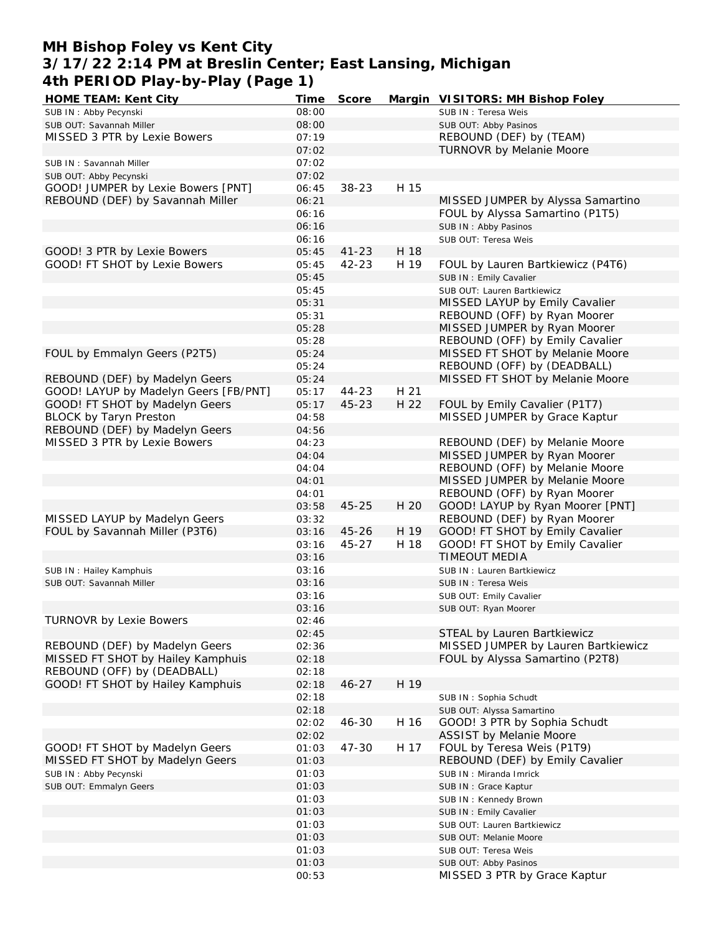# **MH Bishop Foley vs Kent City 3/17/22 2:14 PM at Breslin Center; East Lansing, Michigan 4th PERIOD Play-by-Play (Page 1)**

| HOME TEAM: Kent City                  | Time  | Score     |      | Margin VISITORS: MH Bishop Foley    |
|---------------------------------------|-------|-----------|------|-------------------------------------|
| SUB IN: Abby Pecynski                 | 08:00 |           |      | SUB IN: Teresa Weis                 |
| SUB OUT: Savannah Miller              | 08:00 |           |      | SUB OUT: Abby Pasinos               |
| MISSED 3 PTR by Lexie Bowers          | 07:19 |           |      | REBOUND (DEF) by (TEAM)             |
|                                       | 07:02 |           |      | TURNOVR by Melanie Moore            |
| SUB IN: Savannah Miller               | 07:02 |           |      |                                     |
|                                       | 07:02 |           |      |                                     |
| SUB OUT: Abby Pecynski                |       |           |      |                                     |
| GOOD! JUMPER by Lexie Bowers [PNT]    | 06:45 | $38 - 23$ | H 15 |                                     |
| REBOUND (DEF) by Savannah Miller      | 06:21 |           |      | MISSED JUMPER by Alyssa Samartino   |
|                                       | 06:16 |           |      | FOUL by Alyssa Samartino (P1T5)     |
|                                       | 06:16 |           |      | SUB IN: Abby Pasinos                |
|                                       | 06:16 |           |      | SUB OUT: Teresa Weis                |
| GOOD! 3 PTR by Lexie Bowers           | 05:45 | $41 - 23$ | H 18 |                                     |
| GOOD! FT SHOT by Lexie Bowers         | 05:45 | $42 - 23$ | H 19 | FOUL by Lauren Bartkiewicz (P4T6)   |
|                                       | 05:45 |           |      | SUB IN: Emily Cavalier              |
|                                       | 05:45 |           |      | SUB OUT: Lauren Bartkiewicz         |
|                                       | 05:31 |           |      | MISSED LAYUP by Emily Cavalier      |
|                                       |       |           |      |                                     |
|                                       | 05:31 |           |      | REBOUND (OFF) by Ryan Moorer        |
|                                       | 05:28 |           |      | MISSED JUMPER by Ryan Moorer        |
|                                       | 05:28 |           |      | REBOUND (OFF) by Emily Cavalier     |
| FOUL by Emmalyn Geers (P2T5)          | 05:24 |           |      | MISSED FT SHOT by Melanie Moore     |
|                                       | 05:24 |           |      | REBOUND (OFF) by (DEADBALL)         |
| REBOUND (DEF) by Madelyn Geers        | 05:24 |           |      | MISSED FT SHOT by Melanie Moore     |
| GOOD! LAYUP by Madelyn Geers [FB/PNT] | 05:17 | $44 - 23$ | H 21 |                                     |
| GOOD! FT SHOT by Madelyn Geers        | 05:17 | $45 - 23$ | H 22 | FOUL by Emily Cavalier (P1T7)       |
| <b>BLOCK by Taryn Preston</b>         | 04:58 |           |      | MISSED JUMPER by Grace Kaptur       |
|                                       |       |           |      |                                     |
| REBOUND (DEF) by Madelyn Geers        | 04:56 |           |      |                                     |
| MISSED 3 PTR by Lexie Bowers          | 04:23 |           |      | REBOUND (DEF) by Melanie Moore      |
|                                       | 04:04 |           |      | MISSED JUMPER by Ryan Moorer        |
|                                       | 04:04 |           |      | REBOUND (OFF) by Melanie Moore      |
|                                       | 04:01 |           |      | MISSED JUMPER by Melanie Moore      |
|                                       | 04:01 |           |      | REBOUND (OFF) by Ryan Moorer        |
|                                       | 03:58 | $45 - 25$ | H 20 | GOOD! LAYUP by Ryan Moorer [PNT]    |
| MISSED LAYUP by Madelyn Geers         | 03:32 |           |      | REBOUND (DEF) by Ryan Moorer        |
| FOUL by Savannah Miller (P3T6)        | 03:16 | $45 - 26$ | H 19 | GOOD! FT SHOT by Emily Cavalier     |
|                                       |       | $45 - 27$ | H 18 | GOOD! FT SHOT by Emily Cavalier     |
|                                       | 03:16 |           |      |                                     |
|                                       | 03:16 |           |      | <b>TIMEOUT MEDIA</b>                |
| SUB IN: Hailey Kamphuis               | 03:16 |           |      | SUB IN: Lauren Bartkiewicz          |
| SUB OUT: Savannah Miller              | 03:16 |           |      | SUB IN : Teresa Weis                |
|                                       | 03:16 |           |      | SUB OUT: Emily Cavalier             |
|                                       | 03:16 |           |      | SUB OUT: Ryan Moorer                |
| <b>TURNOVR by Lexie Bowers</b>        | 02:46 |           |      |                                     |
|                                       | 02:45 |           |      | STEAL by Lauren Bartkiewicz         |
| REBOUND (DEF) by Madelyn Geers        | 02:36 |           |      | MISSED JUMPER by Lauren Bartkiewicz |
| MISSED FT SHOT by Hailey Kamphuis     | 02:18 |           |      | FOUL by Alyssa Samartino (P2T8)     |
| REBOUND (OFF) by (DEADBALL)           | 02:18 |           |      |                                     |
|                                       |       |           |      |                                     |
| GOOD! FT SHOT by Hailey Kamphuis      | 02:18 | $46 - 27$ | H 19 |                                     |
|                                       | 02:18 |           |      | SUB IN: Sophia Schudt               |
|                                       | 02:18 |           |      | SUB OUT: Alyssa Samartino           |
|                                       | 02:02 | 46-30     | H 16 | GOOD! 3 PTR by Sophia Schudt        |
|                                       | 02:02 |           |      | ASSIST by Melanie Moore             |
| GOOD! FT SHOT by Madelyn Geers        | 01:03 | 47-30     | H 17 | FOUL by Teresa Weis (P1T9)          |
| MISSED FT SHOT by Madelyn Geers       | 01:03 |           |      | REBOUND (DEF) by Emily Cavalier     |
| SUB IN: Abby Pecynski                 | 01:03 |           |      | SUB IN: Miranda Imrick              |
| SUB OUT: Emmalyn Geers                | 01:03 |           |      | SUB IN: Grace Kaptur                |
|                                       |       |           |      |                                     |
|                                       | 01:03 |           |      | SUB IN: Kennedy Brown               |
|                                       | 01:03 |           |      | SUB IN: Emily Cavalier              |
|                                       | 01:03 |           |      | SUB OUT: Lauren Bartkiewicz         |
|                                       | 01:03 |           |      | SUB OUT: Melanie Moore              |
|                                       | 01:03 |           |      | SUB OUT: Teresa Weis                |
|                                       | 01:03 |           |      | SUB OUT: Abby Pasinos               |
|                                       | 00:53 |           |      | MISSED 3 PTR by Grace Kaptur        |
|                                       |       |           |      |                                     |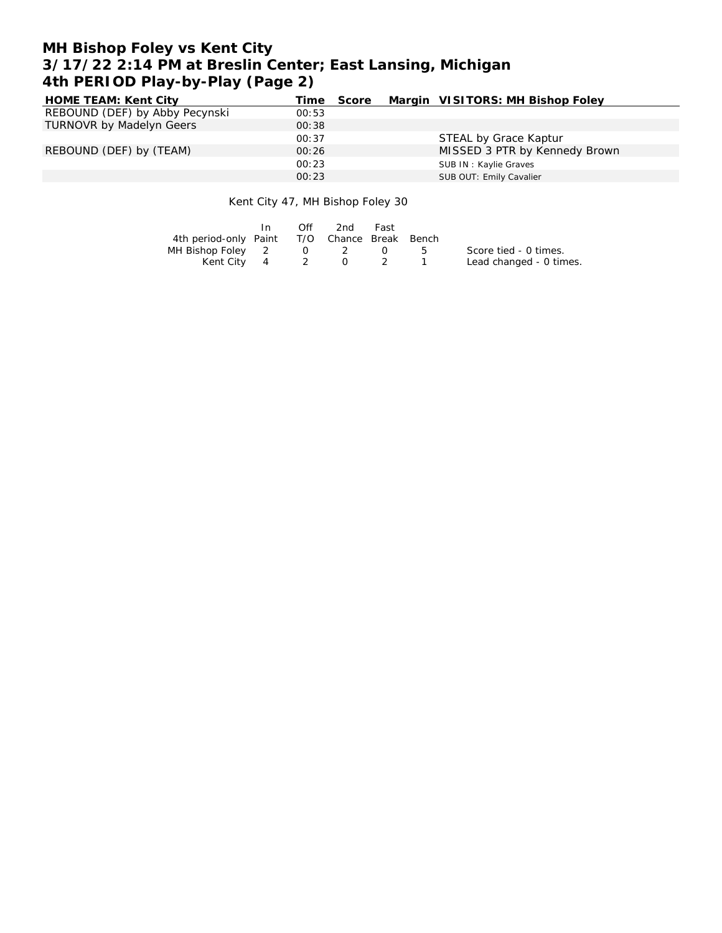# **MH Bishop Foley vs Kent City 3/17/22 2:14 PM at Breslin Center; East Lansing, Michigan 4th PERIOD Play-by-Play (Page 2)**

| HOME TEAM: Kent City            | Time  | Score | Margin VISITORS: MH Bishop Foley |
|---------------------------------|-------|-------|----------------------------------|
| REBOUND (DEF) by Abby Pecynski  | 00:53 |       |                                  |
| <b>TURNOVR by Madelyn Geers</b> | 00:38 |       |                                  |
|                                 | 00:37 |       | STEAL by Grace Kaptur            |
| REBOUND (DEF) by (TEAM)         | 00:26 |       | MISSED 3 PTR by Kennedy Brown    |
|                                 | 00:23 |       | SUB IN: Kaylie Graves            |
|                                 | 00:23 |       | SUB OUT: Emily Cavalier          |

#### Kent City 47, MH Bishop Foley 30

|                                              | In. | Off | 2nd | Fast |     |                         |
|----------------------------------------------|-----|-----|-----|------|-----|-------------------------|
| 4th period-only Paint T/O Chance Break Bench |     |     |     |      |     |                         |
| MH Bishop Foley 2 0 2                        |     |     |     |      | - 5 | Score tied - 0 times.   |
| Kent City 4                                  |     | 2 0 |     |      |     | Lead changed - 0 times. |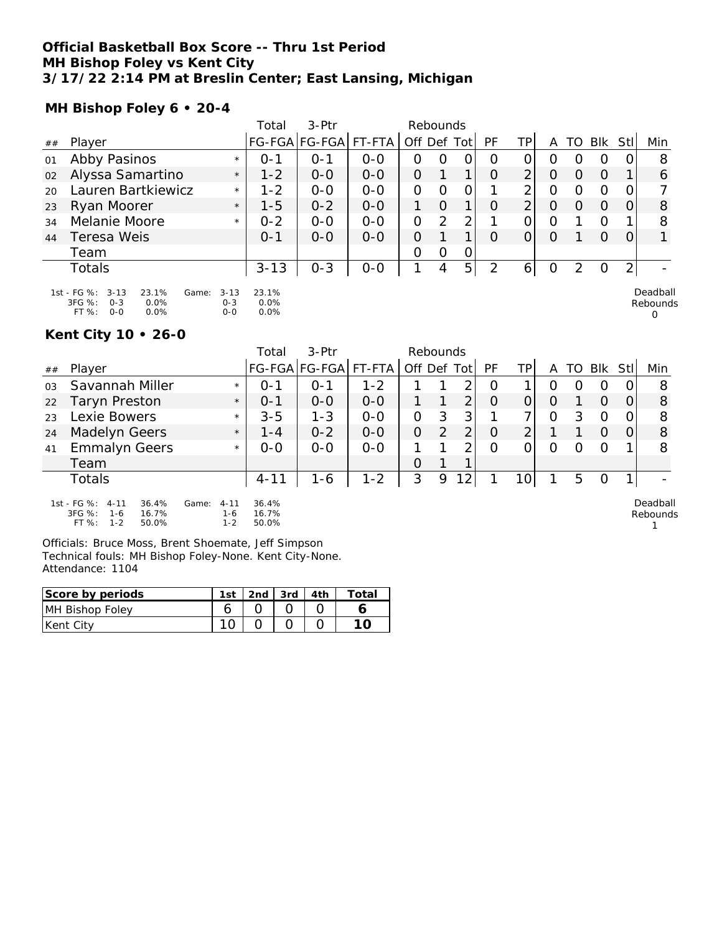#### **Official Basketball Box Score -- Thru 1st Period MH Bishop Foley vs Kent City 3/17/22 2:14 PM at Breslin Center; East Lansing, Michigan**

**MH Bishop Foley 6 • 20-4**

|    |                                                                                                    |                                | Total                 | $3-Ptr$       |         | Rebounds       |          |             |           |                |   |                  |            |                |                           |
|----|----------------------------------------------------------------------------------------------------|--------------------------------|-----------------------|---------------|---------|----------------|----------|-------------|-----------|----------------|---|------------------|------------|----------------|---------------------------|
| ## | Player                                                                                             |                                |                       | FG-FGA FG-FGA | FT-FTA  | Off Def Tot    |          |             | <b>PF</b> | TP             | A | TO               | <b>BIK</b> | Stll           | Min                       |
| 01 | Abby Pasinos                                                                                       | $\star$                        | $0 - 1$               | $0 - 1$       | $O - O$ | O              | O        | 0           | O         | 0              | O |                  | Ω          | 0              | 8                         |
| 02 | Alyssa Samartino                                                                                   | $\star$                        | $1 - 2$               | $0 - 0$       | $0 - 0$ | $\overline{O}$ |          | 1           | O         | $\overline{2}$ | O | O                | O          |                | 6                         |
| 20 | Lauren Bartkiewicz                                                                                 | $\star$                        | $1 - 2$               | $0 - 0$       | $O - O$ | $\overline{O}$ | 0        | 0           |           | 2 <sub>1</sub> | O | O                | Ο          | 0              |                           |
| 23 | Ryan Moorer                                                                                        | $\star$                        | $1 - 5$               | $0 - 2$       | $0 - 0$ | 1              | $\Omega$ | $\mathbf 1$ | O         | $\overline{2}$ | O | $\left( \right)$ | O          | 0              | 8                         |
| 34 | Melanie Moore                                                                                      | $\star$                        | $0 - 2$               | $0-0$         | $0 - 0$ | $\overline{O}$ | 2        | 2           |           | 0              | O |                  | O          |                | 8                         |
| 44 | Teresa Weis                                                                                        |                                | $O - 1$               | $0 - 0$       | $0 - 0$ | $\overline{O}$ |          |             | O         | 0              | O |                  | O          | 0              |                           |
|    | Team                                                                                               |                                |                       |               |         | O              | O        | 0           |           |                |   |                  |            |                |                           |
|    | Totals                                                                                             |                                | $3 - 13$              | $0 - 3$       | $O-O$   |                | 4        | 5           | 2         | 6              | O | $\mathcal{P}$    | O          | $\overline{2}$ |                           |
|    | 1st - FG %:<br>23.1%<br>$3 - 13$<br>Game:<br>3FG %:<br>0.0%<br>$O - 3$<br>$O - O$<br>FT %:<br>0.0% | $3 - 13$<br>$O - 3$<br>$0 - 0$ | 23.1%<br>0.0%<br>0.0% |               |         |                |          |             |           |                |   |                  |            |                | Deadball<br>Rebounds<br>0 |

# **Kent City 10 • 26-0**

|    |                                                                |                          | Total          | 3-Ptr         |         | Rebounds    |   |                 |          |                 |   |                  |                  |          |                    |
|----|----------------------------------------------------------------|--------------------------|----------------|---------------|---------|-------------|---|-----------------|----------|-----------------|---|------------------|------------------|----------|--------------------|
| ## | Player                                                         |                          |                | FG-FGA FG-FGA | FT-FTA  | Off Def Tot |   |                 | PF       | TP.             | A | TO               | Blk              | Stl      | Min                |
| 03 | Savannah Miller                                                | $\star$                  | $0 - 1$        | $0 - 1$       | $1 - 2$ |             |   | ⌒               | O        |                 | O | $\left( \right)$ | $\left( \right)$ | 0        | 8                  |
| 22 | <b>Taryn Preston</b>                                           | $\star$                  | $0 - 1$        | $O-O$         | $O-O$   |             |   | ⌒               | $\Omega$ | O               | O |                  | O                | 0        | 8                  |
| 23 | Lexie Bowers                                                   | $\star$                  | $3 - 5$        | $1 - 3$       | $O-O$   | 0           | 3 | 3               |          |                 | 0 | 3                | Ο                | $\Omega$ | 8                  |
| 24 | <b>Madelyn Geers</b>                                           | $\star$                  | $1 - 4$        | $0 - 2$       | $O-O$   | 0           | 2 | 2               | $\circ$  | 2               |   |                  | 0                | 0        | 8                  |
| 41 | <b>Emmalyn Geers</b>                                           | $\star$                  | $0 - 0$        | $O-O$         | $O-O$   |             |   | ⌒               | O        |                 | Ω | $\left( \right)$ |                  |          | 8                  |
|    | Team                                                           |                          |                |               |         | 0           |   | ◀               |          |                 |   |                  |                  |          |                    |
|    | <b>Totals</b>                                                  |                          | $4 - 11$       | 1-6           | $1 - 2$ | 3           | 9 | 12 <sub>1</sub> |          | 10 <sub>1</sub> |   | 5                | O                |          |                    |
|    | 1st - FG %:<br>36.4%<br>$4 - 11$<br>3FG %:<br>16.7%<br>$1 - 6$ | $4 - 11$<br>Game:<br>1-6 | 36.4%<br>16.7% |               |         |             |   |                 |          |                 |   |                  |                  |          | Deadbal<br>Rebound |

FT %: 1-2 50.0% 1-6 16.7% 1-2 50.0% Officials: Bruce Moss, Brent Shoemate, Jeff Simpson

Technical fouls: MH Bishop Foley-None. Kent City-None. Attendance: 1104

| Score by periods  | $1c+$ | 2nd | 3rd | ™otai |
|-------------------|-------|-----|-----|-------|
| MH Bishop Foley   |       |     |     |       |
| <b>IKent City</b> |       |     |     |       |

Deadball Rebounds 1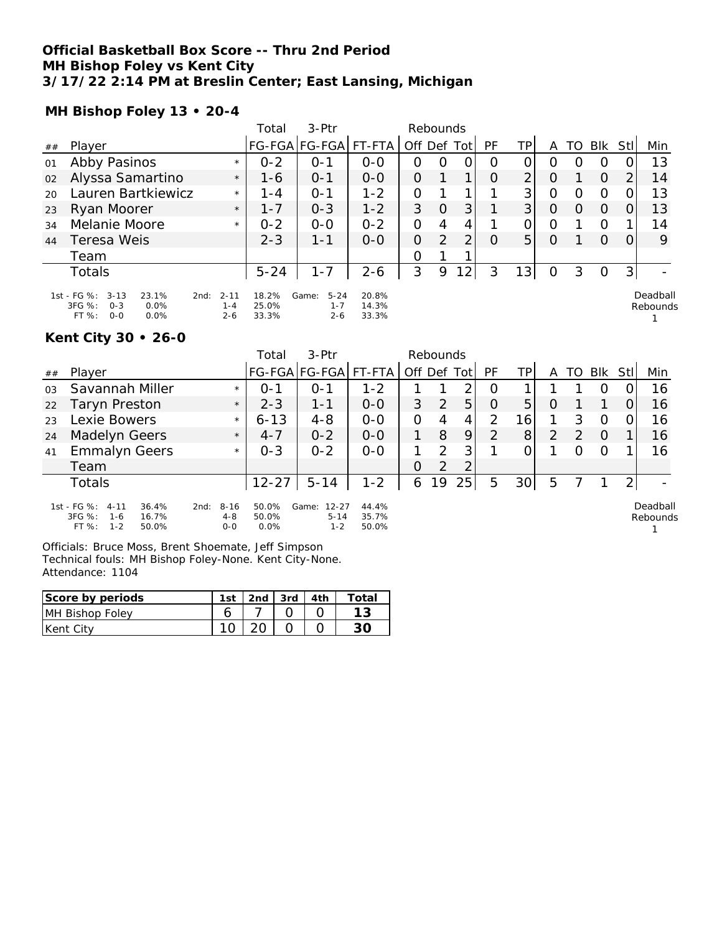## **Official Basketball Box Score -- Thru 2nd Period MH Bishop Foley vs Kent City 3/17/22 2:14 PM at Breslin Center; East Lansing, Michigan**

**MH Bishop Foley 13 • 20-4**

|    |                                                                                                 |                                | Total                   | $3-Ptr$                                 |                         | Rebounds       |          |                |           |                 |   |                  |            |                |                      |
|----|-------------------------------------------------------------------------------------------------|--------------------------------|-------------------------|-----------------------------------------|-------------------------|----------------|----------|----------------|-----------|-----------------|---|------------------|------------|----------------|----------------------|
| ## | Player                                                                                          |                                |                         | FG-FGA FG-FGA                           | $FT-FTA$                | Off Def Tot    |          |                | <b>PF</b> | TP              | A | TO               | <b>BIK</b> | Stll           | Min                  |
| 01 | Abby Pasinos                                                                                    | $\star$                        | $0 - 2$                 | 0-1                                     | $O - O$                 | 0              | O        | 0              | O         | 0               | O |                  | O          |                | 13                   |
| 02 | Alyssa Samartino                                                                                | $\star$                        | 1-6                     | $0 - 1$                                 | $0 - 0$                 | O              |          | 1              | $\Omega$  | $\overline{2}$  | O |                  | $\Omega$   | 2              | 14                   |
| 20 | Lauren Bartkiewicz                                                                              | $\star$                        | 1-4                     | $0 - 1$                                 | $1 - 2$                 | 0              |          |                |           | 3 <sup>1</sup>  | O | $\left( \right)$ | O          |                | 13                   |
| 23 | Ryan Moorer                                                                                     | $\star$                        | $1 - 7$                 | $0 - 3$                                 | $1 - 2$                 | 3              | $\Omega$ | 3              |           | 3 <sup>1</sup>  | O | $\Omega$         | $\Omega$   | 0              | 13                   |
| 34 | Melanie Moore                                                                                   | $\star$                        | $0 - 2$                 | $0 - 0$                                 | $0 - 2$                 | 0              | 4        | 4              |           | 0               | O |                  | O          |                | 14                   |
| 44 | Teresa Weis                                                                                     |                                | $2 - 3$                 | 1-1                                     | $0 - 0$                 | $\overline{O}$ | 2        | 2              | $\Omega$  | 5 <sup>1</sup>  | O |                  | $\Omega$   | $\Omega$       | 9                    |
|    | Team                                                                                            |                                |                         |                                         |                         | 0              |          |                |           |                 |   |                  |            |                |                      |
|    | Totals                                                                                          |                                | $5 - 24$                | $1 - 7$                                 | $2 - 6$                 | 3              | 9        | $\overline{2}$ | 3         | 13 <sup>1</sup> | 0 | 3                | O          | 3 <sub>l</sub> |                      |
|    | 1st - FG %:<br>$3 - 13$<br>23.1%<br>2nd:<br>3FG %:<br>$O - 3$<br>0.0%<br>FT%<br>$O - O$<br>0.0% | $2 - 11$<br>$1 - 4$<br>$2 - 6$ | 18.2%<br>25.0%<br>33.3% | Game:<br>$5 - 24$<br>$1 - 7$<br>$2 - 6$ | 20.8%<br>14.3%<br>33.3% |                |          |                |           |                 |   |                  |            |                | Deadball<br>Rebounds |

### **Kent City 30 • 26-0**

|    |                                                                |                             | Total          | 3-Ptr                          |                |             | Rebounds      |    |          |                 |   |               |          |     |                                  |
|----|----------------------------------------------------------------|-----------------------------|----------------|--------------------------------|----------------|-------------|---------------|----|----------|-----------------|---|---------------|----------|-----|----------------------------------|
| ## | Player                                                         |                             |                | FG-FGA FG-FGA  FT-FTA          |                | Off Def Tot |               |    | PF       | TPI             | A | TO.           | Blk      | Stl | Min                              |
| 03 | Savannah Miller                                                | $\star$                     | $0 - 1$        | 0-1                            | $1 - 2$        |             |               | 2  | O        |                 |   |               |          |     | 16                               |
| 22 | <b>Taryn Preston</b>                                           | $\star$                     | $2 - 3$        | $1 - 1$                        | $0 - 0$        | 3           | $\mathcal{P}$ | 5  | $\Omega$ | 5               | O |               |          |     | 16                               |
| 23 | Lexie Bowers                                                   | $\star$                     | $6 - 13$       | $4 - 8$                        | $0 - 0$        | O           | 4             | 4  | 2        | 16 <sub>1</sub> |   | 3             | $\Omega$ |     | 16                               |
| 24 | <b>Madelyn Geers</b>                                           | $\star$                     | $4 - 7$        | $0 - 2$                        | $0 - 0$        |             | 8             | 9  | 2        | 8               | 2 | $\mathcal{P}$ | $\Omega$ |     | 16                               |
| 41 | <b>Emmalyn Geers</b>                                           | $\star$                     | $0 - 3$        | $0 - 2$                        | $0 - 0$        |             | 2             | 3  |          |                 |   |               | $\Omega$ |     | 16                               |
|    | Team                                                           |                             |                |                                |                | 0           | $\mathcal{P}$ | 2  |          |                 |   |               |          |     |                                  |
|    | Totals                                                         |                             | $12 - 27$      | $5 - 14$                       | $1 - 2$        | 6           | 19            | 25 | 5        | 30 <sup>1</sup> | 5 |               |          |     |                                  |
|    | 1st - FG %:<br>$4 - 11$<br>36.4%<br>3FG %:<br>16.7%<br>$1 - 6$ | $8 - 16$<br>2nd:<br>$4 - 8$ | 50.0%<br>50.0% | Game:<br>$12 - 27$<br>$5 - 14$ | 44.4%<br>35.7% |             |               |    |          |                 |   |               |          |     | Deadball<br>Rebound <sup>®</sup> |

FT %: 1-2 50.0% 0-0 0.0% 1-2 50.0% Officials: Bruce Moss, Brent Shoemate, Jeff Simpson Technical fouls: MH Bishop Foley-None. Kent City-None.

Attendance: 1104

| Score by periods | 1st | 2nd | l 3rd | ™ota⊫ |
|------------------|-----|-----|-------|-------|
| MH Bishop Foley  |     |     |       |       |
| Kent City        |     |     |       |       |

ıds 1